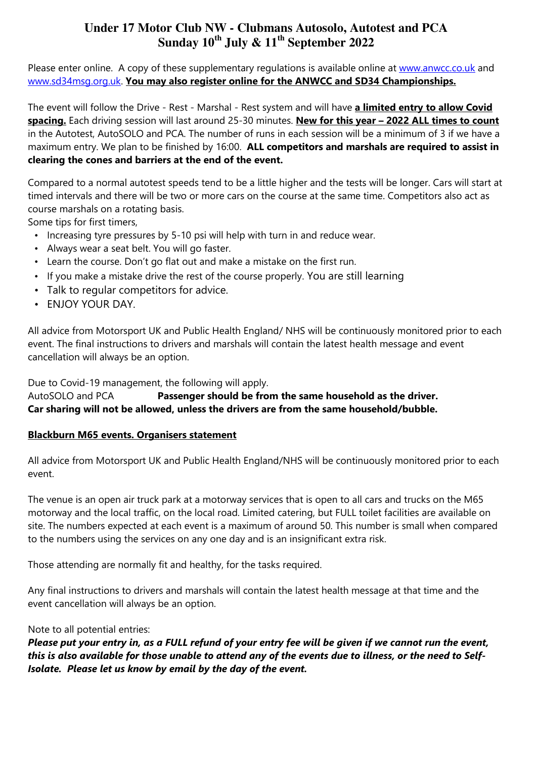Please enter online. A copy of these supplementary regulations is available online at www.anwcc.co.uk and www.sd34msg.org.uk. You may also register online for the ANWCC and SD34 Championships.

The event will follow the Drive - Rest - Marshal - Rest system and will have a limited entry to allow Covid spacing. Each driving session will last around 25-30 minutes. New for this year - 2022 ALL times to count in the Autotest, AutoSOLO and PCA. The number of runs in each session will be a minimum of 3 if we have a maximum entry. We plan to be finished by 16:00. ALL competitors and marshals are required to assist in clearing the cones and barriers at the end of the event.

Compared to a normal autotest speeds tend to be a little higher and the tests will be longer. Cars will start at timed intervals and there will be two or more cars on the course at the same time. Competitors also act as course marshals on a rotating basis.

Some tips for first timers,

- Increasing tyre pressures by 5-10 psi will help with turn in and reduce wear.
- Always wear a seat belt. You will go faster.
- Learn the course. Don't go flat out and make a mistake on the first run.
- If you make a mistake drive the rest of the course properly. You are still learning
- Talk to regular competitors for advice.
- ENJOY YOUR DAY.

All advice from Motorsport UK and Public Health England/ NHS will be continuously monitored prior to each event. The final instructions to drivers and marshals will contain the latest health message and event cancellation will always be an option.

Due to Covid-19 management, the following will apply.

AutoSOLO and PCA **Passenger should be from the same household as the driver.** Car sharing will not be allowed, unless the drivers are from the same household/bubble.

# Blackburn M65 events. Organisers statement

All advice from Motorsport UK and Public Health England/NHS will be continuously monitored prior to each event.

The venue is an open air truck park at a motorway services that is open to all cars and trucks on the M65 motorway and the local traffic, on the local road. Limited catering, but FULL toilet facilities are available on site. The numbers expected at each event is a maximum of around 50. This number is small when compared to the numbers using the services on any one day and is an insignificant extra risk.

Those attending are normally fit and healthy, for the tasks required.

Any final instructions to drivers and marshals will contain the latest health message at that time and the event cancellation will always be an option.

### Note to all potential entries:

Please put your entry in, as a FULL refund of your entry fee will be given if we cannot run the event, this is also available for those unable to attend any of the events due to illness, or the need to Self-Isolate. Please let us know by email by the day of the event.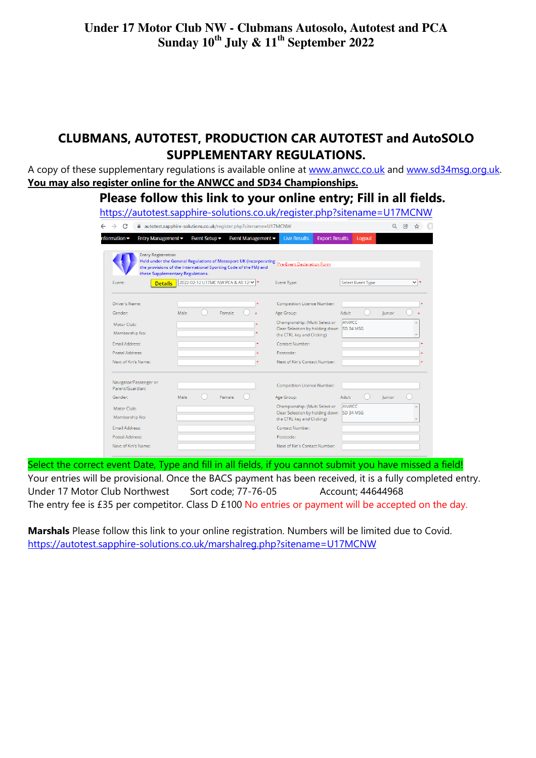# CLUBMANS, AUTOTEST, PRODUCTION CAR AUTOTEST and AutoSOLO SUPPLEMENTARY REGULATIONS.

A copy of these supplementary regulations is available online at www.anwcc.co.uk and www.sd34msg.org.uk. You may also register online for the ANWCC and SD34 Championships.

Please follow this link to your online entry; Fill in all fields.

| https://autotest.sapphire-solutions.co.uk/register.php?sitename=U17MCNW                               |      |                                  |                                      |                                        |  |                                                               |                   |        |              |
|-------------------------------------------------------------------------------------------------------|------|----------------------------------|--------------------------------------|----------------------------------------|--|---------------------------------------------------------------|-------------------|--------|--------------|
| autotest.sapphire-solutions.co.uk/register.php?sitename=U17MCNW                                       |      |                                  |                                      |                                        |  |                                                               |                   |        | $\mathbb{R}$ |
| nformation <del>▼</del><br>Entry Management -                                                         |      | Event Setup $\blacktriangledown$ |                                      | Event Management $\blacktriangleright$ |  | <b>Export Results</b><br><b>Live Results</b>                  | Logout            |        |              |
| <b>Entry Registration</b><br>Held under the General Regulations of Motosport UK (incorporating        |      |                                  |                                      |                                        |  |                                                               |                   |        |              |
| the provisions of the International Sporting Code of the FIA) and<br>these Supplementary Regulations. |      |                                  |                                      |                                        |  | Pre-Event Declaration Form                                    |                   |        |              |
| Event:<br><b>Details</b>                                                                              |      |                                  | 2022-02-12 U17MC NW PCA & AS 121 v * |                                        |  | Event Type:                                                   | Select Event Type |        | $\vee$ $\pm$ |
|                                                                                                       |      |                                  |                                      |                                        |  |                                                               |                   |        |              |
| Driver's Name:                                                                                        |      |                                  |                                      |                                        |  | <b>Competition Licence Number:</b>                            |                   |        |              |
| Gender:                                                                                               | Male |                                  | Female                               |                                        |  | Age Group:                                                    | Adult             | lunior |              |
| Motor Club:                                                                                           |      |                                  |                                      |                                        |  | Championship: (Multi Select or                                | ANWCC             |        |              |
| Membership No:                                                                                        |      |                                  |                                      |                                        |  | Clear Selection by holding down<br>the CTRL key and Clicking) | SD 34 MSG         |        |              |
| Email Address:                                                                                        |      |                                  |                                      |                                        |  | <b>Contact Number:</b>                                        |                   |        |              |
| Postal Address:                                                                                       |      |                                  |                                      |                                        |  | Postcode:                                                     |                   |        |              |
| Next of Kin's Name:                                                                                   |      |                                  |                                      |                                        |  | Next of Kin's Contact Number:                                 |                   |        |              |
|                                                                                                       |      |                                  |                                      |                                        |  |                                                               |                   |        |              |
| Navigator/Passenger or<br>Parent/Guardian:                                                            |      |                                  |                                      |                                        |  | <b>Competition Licence Number:</b>                            |                   |        |              |
| Gender:                                                                                               | Male |                                  | Female                               |                                        |  | Age Group:                                                    | Adult             | lunior |              |
| Motor Club:                                                                                           |      |                                  |                                      |                                        |  | Championship: (Multi Select or                                | ANWCC             |        |              |
| Membership No:                                                                                        |      |                                  |                                      |                                        |  | Clear Selection by holding down<br>the CTRL key and Clicking) | SD 34 MSG         |        |              |
| Email Address:                                                                                        |      |                                  |                                      |                                        |  | Contact Number:                                               |                   |        |              |
| Postal Address:                                                                                       |      |                                  |                                      |                                        |  | Postcode:                                                     |                   |        |              |
| Next of Kin's Name:                                                                                   |      |                                  |                                      |                                        |  | Next of Kin's Contact Number:                                 |                   |        |              |

Select the correct event Date, Type and fill in all fields, if you cannot submit you have missed a field! Your entries will be provisional. Once the BACS payment has been received, it is a fully completed entry. Under 17 Motor Club Northwest Sort code; 77-76-05 Account; 44644968 The entry fee is £35 per competitor. Class D £100 No entries or payment will be accepted on the day.

Marshals Please follow this link to your online registration. Numbers will be limited due to Covid. https://autotest.sapphire-solutions.co.uk/marshalreg.php?sitename=U17MCNW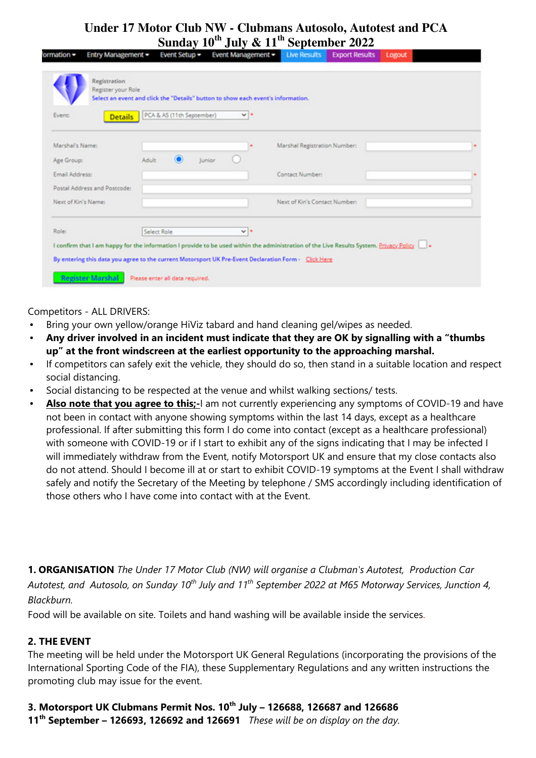| Event:<br><b>Details</b>                                     | PCA & AS (11th September) |        | $\vee$ + | Select an event and click the "Details" button to show each event's information. |  |
|--------------------------------------------------------------|---------------------------|--------|----------|----------------------------------------------------------------------------------|--|
| Marshal's Name:                                              |                           |        |          | Marshal Registration Number:                                                     |  |
| Age Group:<br>Email Address:<br>Postal Address and Postcode: | Adult                     | Junior |          | Contact Number:                                                                  |  |
| Next of Kin's Name:                                          |                           |        |          | Next of Kin's Contact Number:                                                    |  |
| Role:                                                        | Select Role               |        | $v +$    |                                                                                  |  |

Competitors - ALL DRIVERS:

- Bring your own yellow/orange HiViz tabard and hand cleaning gel/wipes as needed.
- Any driver involved in an incident must indicate that they are OK by signalling with a "thumbs up" at the front windscreen at the earliest opportunity to the approaching marshal.
- If competitors can safely exit the vehicle, they should do so, then stand in a suitable location and respect social distancing.
- Social distancing to be respected at the venue and whilst walking sections/ tests.
- Also note that you agree to this;-I am not currently experiencing any symptoms of COVID-19 and have not been in contact with anyone showing symptoms within the last 14 days, except as a healthcare professional. If after submitting this form I do come into contact (except as a healthcare professional) with someone with COVID-19 or if I start to exhibit any of the signs indicating that I may be infected I will immediately withdraw from the Event, notify Motorsport UK and ensure that my close contacts also do not attend. Should I become ill at or start to exhibit COVID-19 symptoms at the Event I shall withdraw safely and notify the Secretary of the Meeting by telephone / SMS accordingly including identification of those others who I have come into contact with at the Event.

1. ORGANISATION The Under 17 Motor Club (NW) will organise a Clubman's Autotest, Production Car Autotest, and Autosolo, on Sunday 10<sup>th</sup> July and 11<sup>th</sup> September 2022 at M65 Motorway Services, Junction 4, Blackburn.

Food will be available on site. Toilets and hand washing will be available inside the services.

### 2. THE EVENT

The meeting will be held under the Motorsport UK General Regulations (incorporating the provisions of the International Sporting Code of the FIA), these Supplementary Regulations and any written instructions the promoting club may issue for the event.

3. Motorsport UK Clubmans Permit Nos.  $10^{th}$  July – 126688, 126687 and 126686 11<sup>th</sup> September – 126693, 126692 and 126691 *These will be on display on the day*.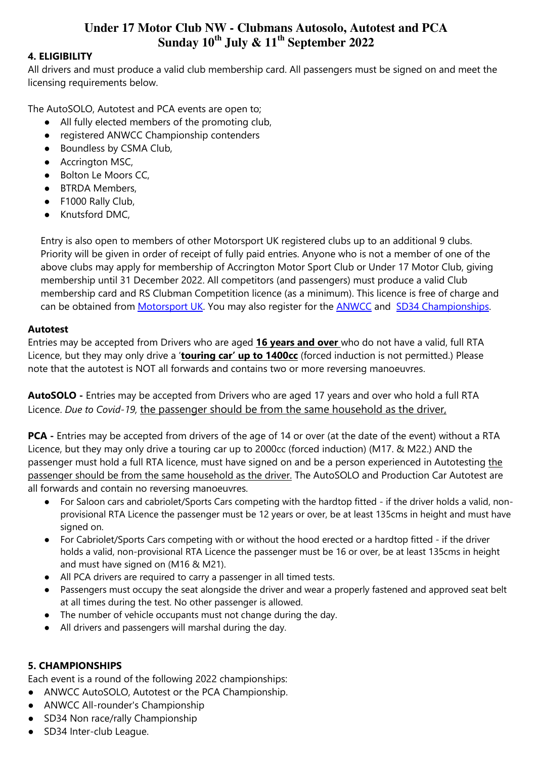#### 4. ELIGIBILITY

All drivers and must produce a valid club membership card. All passengers must be signed on and meet the licensing requirements below.

The AutoSOLO, Autotest and PCA events are open to;

- All fully elected members of the promoting club,
- registered ANWCC Championship contenders
- Boundless by CSMA Club,
- Accrington MSC,
- Bolton Le Moors CC.
- BTRDA Members,
- F1000 Rally Club,
- Knutsford DMC,

Entry is also open to members of other Motorsport UK registered clubs up to an additional 9 clubs. Priority will be given in order of receipt of fully paid entries. Anyone who is not a member of one of the above clubs may apply for membership of Accrington Motor Sport Club or Under 17 Motor Club, giving membership until 31 December 2022. All competitors (and passengers) must produce a valid Club membership card and RS Clubman Competition licence (as a minimum). This licence is free of charge and can be obtained from Motorsport UK. You may also register for the **ANWCC** and SD34 Championships.

#### Autotest

Entries may be accepted from Drivers who are aged 16 years and over who do not have a valid, full RTA Licence, but they may only drive a 'touring car' up to 1400cc (forced induction is not permitted.) Please note that the autotest is NOT all forwards and contains two or more reversing manoeuvres.

AutoSOLO - Entries may be accepted from Drivers who are aged 17 years and over who hold a full RTA Licence. Due to Covid-19, the passenger should be from the same household as the driver,

PCA - Entries may be accepted from drivers of the age of 14 or over (at the date of the event) without a RTA Licence, but they may only drive a touring car up to 2000cc (forced induction) (M17. & M22.) AND the passenger must hold a full RTA licence, must have signed on and be a person experienced in Autotesting the passenger should be from the same household as the driver. The AutoSOLO and Production Car Autotest are all forwards and contain no reversing manoeuvres.

- For Saloon cars and cabriolet/Sports Cars competing with the hardtop fitted if the driver holds a valid, nonprovisional RTA Licence the passenger must be 12 years or over, be at least 135cms in height and must have signed on.
- For Cabriolet/Sports Cars competing with or without the hood erected or a hardtop fitted if the driver holds a valid, non-provisional RTA Licence the passenger must be 16 or over, be at least 135cms in height and must have signed on (M16 & M21).
- All PCA drivers are required to carry a passenger in all timed tests.
- Passengers must occupy the seat alongside the driver and wear a properly fastened and approved seat belt at all times during the test. No other passenger is allowed.
- The number of vehicle occupants must not change during the day.
- All drivers and passengers will marshal during the day.

# 5. CHAMPIONSHIPS

Each event is a round of the following 2022 championships:

- ANWCC AutoSOLO, Autotest or the PCA Championship.
- ANWCC All-rounder's Championship
- SD34 Non race/rally Championship
- SD34 Inter-club League.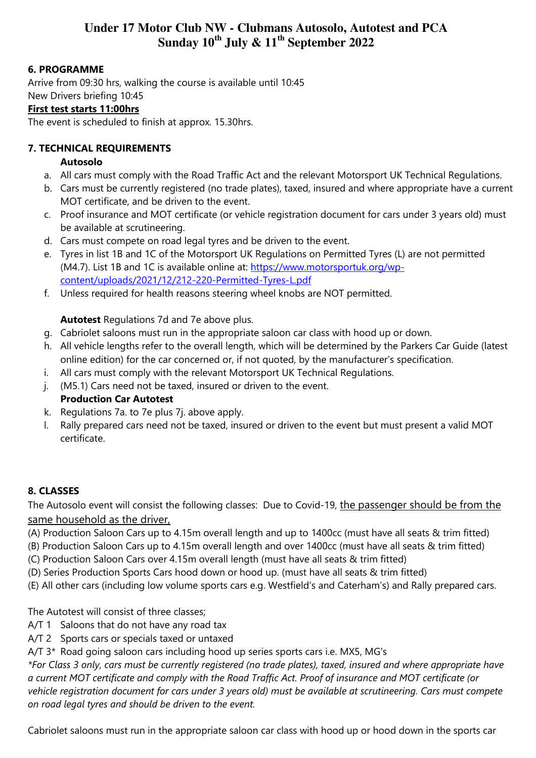# 6. PROGRAMME

Arrive from 09:30 hrs, walking the course is available until 10:45 New Drivers briefing 10:45

### First test starts 11:00hrs

The event is scheduled to finish at approx. 15.30hrs.

### 7. TECHNICAL REQUIREMENTS

### Autosolo

- a. All cars must comply with the Road Traffic Act and the relevant Motorsport UK Technical Regulations.
- b. Cars must be currently registered (no trade plates), taxed, insured and where appropriate have a current MOT certificate, and be driven to the event.
- c. Proof insurance and MOT certificate (or vehicle registration document for cars under 3 years old) must be available at scrutineering.
- d. Cars must compete on road legal tyres and be driven to the event.
- e. Tyres in list 1B and 1C of the Motorsport UK Regulations on Permitted Tyres (L) are not permitted (M4.7). List 1B and 1C is available online at: https://www.motorsportuk.org/wpcontent/uploads/2021/12/212-220-Permitted-Tyres-L.pdf
- f. Unless required for health reasons steering wheel knobs are NOT permitted.

# Autotest Regulations 7d and 7e above plus.

- g. Cabriolet saloons must run in the appropriate saloon car class with hood up or down.
- h. All vehicle lengths refer to the overall length, which will be determined by the Parkers Car Guide (latest online edition) for the car concerned or, if not quoted, by the manufacturer's specification.
- i. All cars must comply with the relevant Motorsport UK Technical Regulations.
- j. (M5.1) Cars need not be taxed, insured or driven to the event. Production Car Autotest
- k. Regulations 7a. to 7e plus 7j. above apply.
- l. Rally prepared cars need not be taxed, insured or driven to the event but must present a valid MOT certificate.

# 8. CLASSES

The Autosolo event will consist the following classes: Due to Covid-19, the passenger should be from the same household as the driver,

- (A) Production Saloon Cars up to 4.15m overall length and up to 1400cc (must have all seats & trim fitted)
- (B) Production Saloon Cars up to 4.15m overall length and over 1400cc (must have all seats & trim fitted)
- (C) Production Saloon Cars over 4.15m overall length (must have all seats & trim fitted)
- (D) Series Production Sports Cars hood down or hood up. (must have all seats & trim fitted)
- (E) All other cars (including low volume sports cars e.g. Westfield's and Caterham's) and Rally prepared cars.

The Autotest will consist of three classes;

- A/T 1 Saloons that do not have any road tax
- A/T 2 Sports cars or specials taxed or untaxed
- A/T 3\* Road going saloon cars including hood up series sports cars i.e. MX5, MG's

\*For Class 3 only, cars must be currently registered (no trade plates), taxed, insured and where appropriate have a current MOT certificate and comply with the Road Traffic Act. Proof of insurance and MOT certificate (or vehicle registration document for cars under 3 years old) must be available at scrutineering. Cars must compete on road legal tyres and should be driven to the event.

Cabriolet saloons must run in the appropriate saloon car class with hood up or hood down in the sports car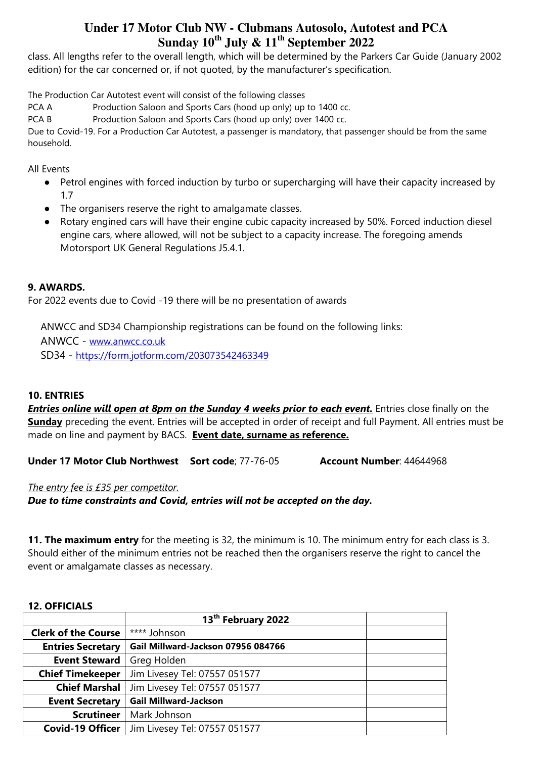class. All lengths refer to the overall length, which will be determined by the Parkers Car Guide (January 2002 edition) for the car concerned or, if not quoted, by the manufacturer's specification.

The Production Car Autotest event will consist of the following classes

PCA A Production Saloon and Sports Cars (hood up only) up to 1400 cc.

PCA B Production Saloon and Sports Cars (hood up only) over 1400 cc.

Due to Covid-19. For a Production Car Autotest, a passenger is mandatory, that passenger should be from the same household.

All Events

- Petrol engines with forced induction by turbo or supercharging will have their capacity increased by 1.7
- The organisers reserve the right to amalgamate classes.
- Rotary engined cars will have their engine cubic capacity increased by 50%. Forced induction diesel engine cars, where allowed, will not be subject to a capacity increase. The foregoing amends Motorsport UK General Regulations J5.4.1.

# 9. AWARDS.

For 2022 events due to Covid -19 there will be no presentation of awards

ANWCC and SD34 Championship registrations can be found on the following links:

ANWCC - www.anwcc.co.uk

SD34 - https://form.jotform.com/203073542463349

# 10. ENTRIES

**Entries online will open at 8pm on the Sunday 4 weeks prior to each event.** Entries close finally on the Sunday preceding the event. Entries will be accepted in order of receipt and full Payment. All entries must be made on line and payment by BACS. Event date, surname as reference.

Under 17 Motor Club Northwest Sort code: 77-76-05 Account Number: 44644968

The entry fee is £35 per competitor.

Due to time constraints and Covid, entries will not be accepted on the day.

11. The maximum entry for the meeting is 32, the minimum is 10. The minimum entry for each class is 3. Should either of the minimum entries not be reached then the organisers reserve the right to cancel the event or amalgamate classes as necessary.

### 12. OFFICIALS

|                            | 13 <sup>th</sup> February 2022     |  |  |  |  |  |
|----------------------------|------------------------------------|--|--|--|--|--|
| <b>Clerk of the Course</b> | **** Johnson                       |  |  |  |  |  |
| <b>Entries Secretary</b>   | Gail Millward-Jackson 07956 084766 |  |  |  |  |  |
| <b>Event Steward</b>       | Greg Holden                        |  |  |  |  |  |
| <b>Chief Timekeeper</b>    | Jim Livesey Tel: 07557 051577      |  |  |  |  |  |
| <b>Chief Marshal</b>       | Jim Livesey Tel: 07557 051577      |  |  |  |  |  |
| <b>Event Secretary</b>     | <b>Gail Millward-Jackson</b>       |  |  |  |  |  |
| <b>Scrutineer</b>          | Mark Johnson                       |  |  |  |  |  |
| <b>Covid-19 Officer</b>    | Jim Livesey Tel: 07557 051577      |  |  |  |  |  |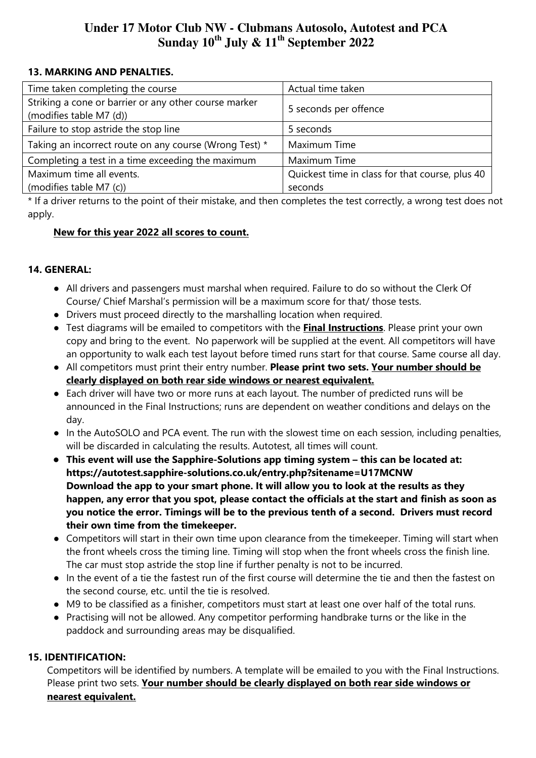### 13. MARKING AND PENALTIES.

| Time taken completing the course                       | Actual time taken                               |  |  |
|--------------------------------------------------------|-------------------------------------------------|--|--|
| Striking a cone or barrier or any other course marker  | 5 seconds per offence                           |  |  |
| (modifies table M7 (d))                                |                                                 |  |  |
| Failure to stop astride the stop line                  | 5 seconds                                       |  |  |
| Taking an incorrect route on any course (Wrong Test) * | Maximum Time                                    |  |  |
| Completing a test in a time exceeding the maximum      | Maximum Time                                    |  |  |
| Maximum time all events.                               | Quickest time in class for that course, plus 40 |  |  |
| (modifies table M7 (c))                                | seconds                                         |  |  |

\* If a driver returns to the point of their mistake, and then completes the test correctly, a wrong test does not apply.

### New for this year 2022 all scores to count.

# 14. GENERAL:

- All drivers and passengers must marshal when required. Failure to do so without the Clerk Of Course/ Chief Marshal's permission will be a maximum score for that/ those tests.
- Drivers must proceed directly to the marshalling location when required.
- Test diagrams will be emailed to competitors with the Final Instructions. Please print your own copy and bring to the event. No paperwork will be supplied at the event. All competitors will have an opportunity to walk each test layout before timed runs start for that course. Same course all day.
- All competitors must print their entry number. Please print two sets. Your number should be clearly displayed on both rear side windows or nearest equivalent.
- Each driver will have two or more runs at each layout. The number of predicted runs will be announced in the Final Instructions; runs are dependent on weather conditions and delays on the day.
- In the AutoSOLO and PCA event. The run with the slowest time on each session, including penalties, will be discarded in calculating the results. Autotest, all times will count.
- This event will use the Sapphire-Solutions app timing system this can be located at: https://autotest.sapphire-solutions.co.uk/entry.php?sitename=U17MCNW Download the app to your smart phone. It will allow you to look at the results as they happen, any error that you spot, please contact the officials at the start and finish as soon as you notice the error. Timings will be to the previous tenth of a second. Drivers must record their own time from the timekeeper.
- Competitors will start in their own time upon clearance from the timekeeper. Timing will start when the front wheels cross the timing line. Timing will stop when the front wheels cross the finish line. The car must stop astride the stop line if further penalty is not to be incurred.
- In the event of a tie the fastest run of the first course will determine the tie and then the fastest on the second course, etc. until the tie is resolved.
- M9 to be classified as a finisher, competitors must start at least one over half of the total runs.
- Practising will not be allowed. Any competitor performing handbrake turns or the like in the paddock and surrounding areas may be disqualified.

# 15. IDENTIFICATION:

Competitors will be identified by numbers. A template will be emailed to you with the Final Instructions. Please print two sets. Your number should be clearly displayed on both rear side windows or nearest equivalent.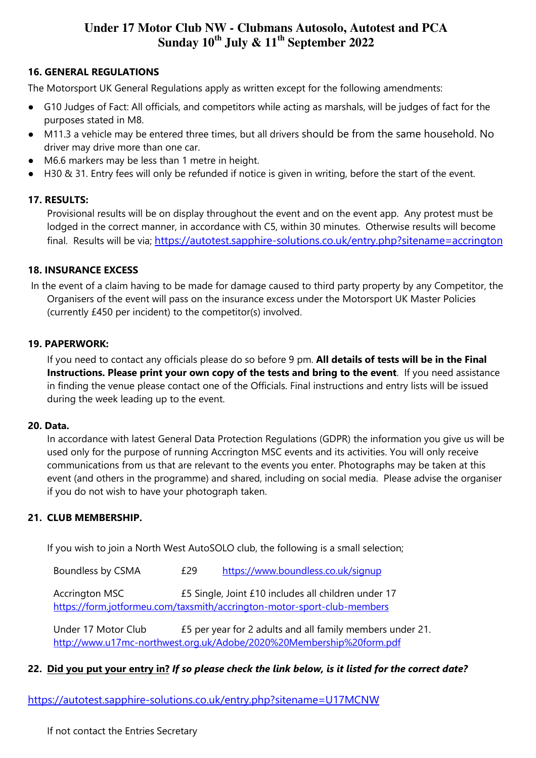# 16. GENERAL REGULATIONS

The Motorsport UK General Regulations apply as written except for the following amendments:

- G10 Judges of Fact: All officials, and competitors while acting as marshals, will be judges of fact for the purposes stated in M8.
- M11.3 a vehicle may be entered three times, but all drivers should be from the same household. No driver may drive more than one car.
- M6.6 markers may be less than 1 metre in height.
- H30 & 31. Entry fees will only be refunded if notice is given in writing, before the start of the event.

### 17. RESULTS:

Provisional results will be on display throughout the event and on the event app. Any protest must be lodged in the correct manner, in accordance with C5, within 30 minutes. Otherwise results will become final. Results will be via; https://autotest.sapphire-solutions.co.uk/entry.php?sitename=accrington

# 18. INSURANCE EXCESS

In the event of a claim having to be made for damage caused to third party property by any Competitor, the Organisers of the event will pass on the insurance excess under the Motorsport UK Master Policies (currently £450 per incident) to the competitor(s) involved.

### 19. PAPERWORK:

If you need to contact any officials please do so before 9 pm. All details of tests will be in the Final Instructions. Please print your own copy of the tests and bring to the event. If you need assistance in finding the venue please contact one of the Officials. Final instructions and entry lists will be issued during the week leading up to the event.

### 20. Data.

In accordance with latest General Data Protection Regulations (GDPR) the information you give us will be used only for the purpose of running Accrington MSC events and its activities. You will only receive communications from us that are relevant to the events you enter. Photographs may be taken at this event (and others in the programme) and shared, including on social media. Please advise the organiser if you do not wish to have your photograph taken.

# 21. CLUB MEMBERSHIP.

If you wish to join a North West AutoSOLO club, the following is a small selection;

Boundless by CSMA  $£29$  https://www.boundless.co.uk/signup

Accrington MSC **E5 Single, Joint £10 includes all children under 17** https://form.jotformeu.com/taxsmith/accrington-motor-sport-club-members

Under 17 Motor Club £5 per year for 2 adults and all family members under 21. http://www.u17mc-northwest.org.uk/Adobe/2020%20Membership%20form.pdf

### 22. Did you put your entry in? If so please check the link below, is it listed for the correct date?

https://autotest.sapphire-solutions.co.uk/entry.php?sitename=U17MCNW